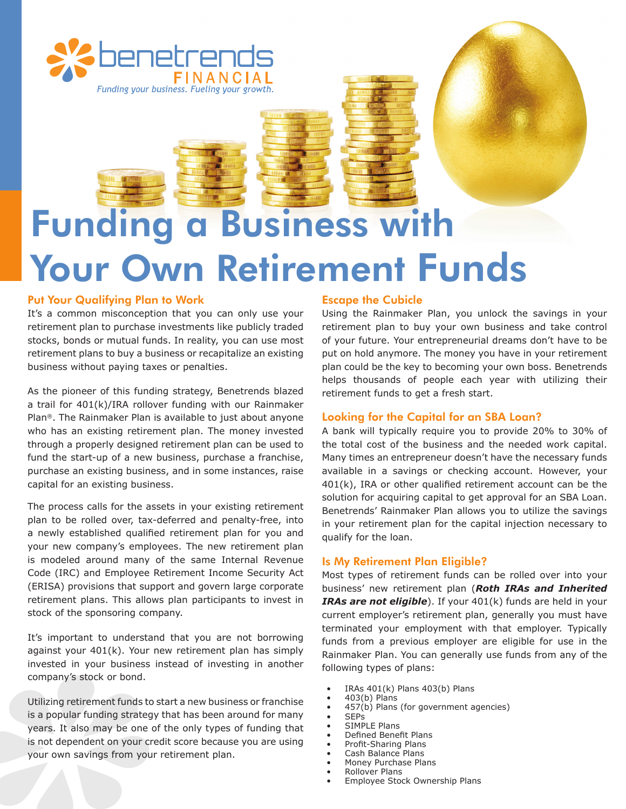

# Funding a Business with Your Own Retirement Funds

## Put Your Qualifying Plan to Work

It's a common misconception that you can only use your retirement plan to purchase investments like publicly traded stocks, bonds or mutual funds. In reality, you can use most retirement plans to buy a business or recapitalize an existing business without paying taxes or penalties.

As the pioneer of this funding strategy, Benetrends blazed a trail for 401(k)/IRA rollover funding with our Rainmaker Plan®. The Rainmaker Plan is available to just about anyone who has an existing retirement plan. The money invested through a properly designed retirement plan can be used to fund the start-up of a new business, purchase a franchise, purchase an existing business, and in some instances, raise capital for an existing business.

The process calls for the assets in your existing retirement plan to be rolled over, tax-deferred and penalty-free, into a newly established qualified retirement plan for you and your new company's employees. The new retirement plan is modeled around many of the same Internal Revenue Code (IRC) and Employee Retirement Income Security Act (ERISA) provisions that support and govern large corporate retirement plans. This allows plan participants to invest in stock of the sponsoring company.

It's important to understand that you are not borrowing against your 401(k). Your new retirement plan has simply invested in your business instead of investing in another company's stock or bond.

Utilizing retirement funds to start a new business or franchise is a popular funding strategy that has been around for many years. It also may be one of the only types of funding that is not dependent on your credit score because you are using your own savings from your retirement plan.

### Escape the Cubicle

Using the Rainmaker Plan, you unlock the savings in your retirement plan to buy your own business and take control of your future. Your entrepreneurial dreams don't have to be put on hold anymore. The money you have in your retirement plan could be the key to becoming your own boss. Benetrends helps thousands of people each year with utilizing their retirement funds to get a fresh start.

### Looking for the Capital for an SBA Loan?

A bank will typically require you to provide 20% to 30% of the total cost of the business and the needed work capital. Many times an entrepreneur doesn't have the necessary funds available in a savings or checking account. However, your 401(k), IRA or other qualified retirement account can be the solution for acquiring capital to get approval for an SBA Loan. Benetrends' Rainmaker Plan allows you to utilize the savings in your retirement plan for the capital injection necessary to qualify for the loan.

### Is My Retirement Plan Eligible?

Most types of retirement funds can be rolled over into your business' new retirement plan (*Roth IRAs and Inherited IRAs are not eligible*). If your 401(k) funds are held in your current employer's retirement plan, generally you must have terminated your employment with that employer. Typically funds from a previous employer are eligible for use in the Rainmaker Plan. You can generally use funds from any of the following types of plans:

- IRAs  $401(k)$  Plans  $403(b)$  Plans
- 403(b) Plans
- $457(b)$  Plans (for government agencies)
- SEPs
- SIMPLE Plans
- Defined Benefit Plans
- Profit-Sharing Plans
- Cash Balance Plans
- Money Purchase Plans
- Rollover Plans
- Employee Stock Ownership Plans